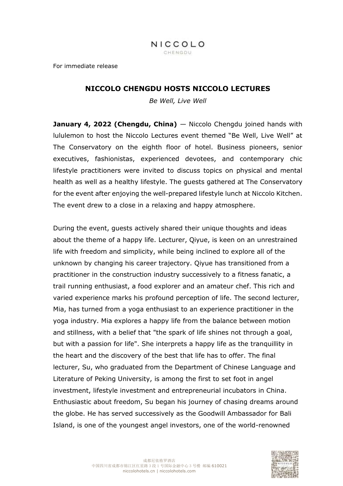NICCOLO CHENGDU.

For immediate release

## **NICCOLO CHENGDU HOSTS NICCOLO LECTURES**

*Be Well, Live Well*

**January 4, 2022 (Chengdu, China)** — Niccolo Chengdu joined hands with lululemon to host the Niccolo Lectures event themed "Be Well, Live Well" at The Conservatory on the eighth floor of hotel. Business pioneers, senior executives, fashionistas, experienced devotees, and contemporary chic lifestyle practitioners were invited to discuss topics on physical and mental health as well as a healthy lifestyle. The guests gathered at The Conservatory for the event after enjoying the well-prepared lifestyle lunch at Niccolo Kitchen. The event drew to a close in a relaxing and happy atmosphere.

During the event, guests actively shared their unique thoughts and ideas about the theme of a happy life. Lecturer, Qiyue, is keen on an unrestrained life with freedom and simplicity, while being inclined to explore all of the unknown by changing his career trajectory. Qiyue has transitioned from a practitioner in the construction industry successively to a fitness fanatic, a trail running enthusiast, a food explorer and an amateur chef. This rich and varied experience marks his profound perception of life. The second lecturer, Mia, has turned from a yoga enthusiast to an experience practitioner in the yoga industry. Mia explores a happy life from the balance between motion and stillness, with a belief that "the spark of life shines not through a goal, but with a passion for life". She interprets a happy life as the tranquillity in the heart and the discovery of the best that life has to offer. The final lecturer, Su, who graduated from the Department of Chinese Language and Literature of Peking University, is among the first to set foot in angel investment, lifestyle investment and entrepreneurial incubators in China. Enthusiastic about freedom, Su began his journey of chasing dreams around the globe. He has served successively as the Goodwill Ambassador for Bali Island, is one of the youngest angel investors, one of the world-renowned

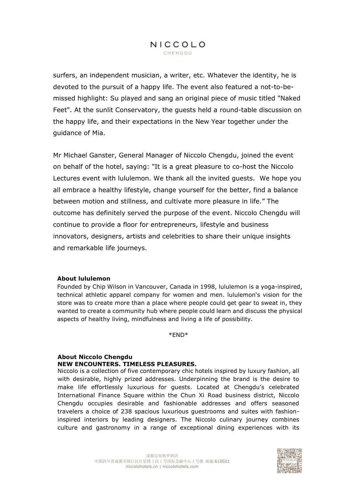## NICCOLO CHENGOU

surfers, an independent musician, a writer, etc. Whatever the identity, he is devoted to the pursuit of a happy life. The event also featured a not-to-bemissed highlight: Su played and sang an original piece of music titled "Naked Feet". At the sunlit Conservatory, the guests held a round-table discussion on the happy life, and their expectations in the New Year together under the guidance of Mia.

Mr Michael Ganster, General Manager of Niccolo Chengdu, joined the event on behalf of the hotel, saying: "It is a great pleasure to co-host the Niccolo Lectures event with lululemon. We thank all the invited guests. We hope you all embrace a healthy lifestyle, change yourself for the better, find a balance between motion and stillness, and cultivate more pleasure in life." The outcome has definitely served the purpose of the event. Niccolo Chengdu will continue to provide a floor for entrepreneurs, lifestyle and business innovators, designers, artists and celebrities to share their unique insights and remarkable life journeys.

#### **About lululemon**

Founded by Chip Wilson in Vancouver, Canada in 1998, lululemon is a yoga-inspired, technical athletic apparel company for women and men. lululemon's vision for the store was to create more than a place where people could get gear to sweat in, they wanted to create a community hub where people could learn and discuss the physical aspects of healthy living, mindfulness and living a life of possibility.

\*END\*

## **About Niccolo Chengdu NEW ENCOUNTERS. TIMELESS PLEASURES.**

Niccolo is a collection of five contemporary chic hotels inspired by luxury fashion, all with desirable, highly prized addresses. Underpinning the brand is the desire to make life effortlessly luxurious for guests. Located at Chengdu's celebrated International Finance Square within the Chun Xi Road business district, Niccolo Chengdu occupies desirable and fashionable addresses and offers seasoned travelers a choice of 238 spacious luxurious guestrooms and suites with fashioninspired interiors by leading designers. The Niccolo culinary journey combines culture and gastronomy in a range of exceptional dining experiences with its

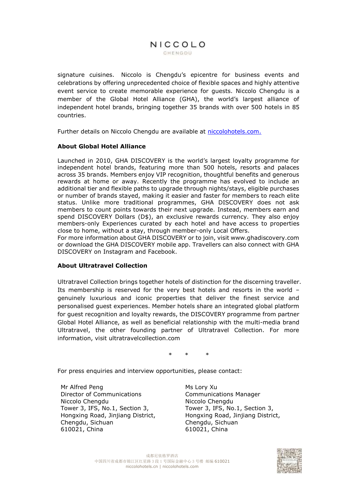# NICCOLO

CHENGDU

signature cuisines. Niccolo is Chengdu's epicentre for business events and celebrations by offering unprecedented choice of flexible spaces and highly attentive event service to create memorable experience for guests. Niccolo Chengdu is a member of the Global Hotel Alliance (GHA), the world's largest alliance of independent hotel brands, bringing together 35 brands with over 500 hotels in 85 countries.

Further details on Niccolo Chengdu are available at<niccolohotels.com.>

#### **About Global Hotel Alliance**

Launched in 2010, GHA DISCOVERY is the world's largest loyalty programme for independent hotel brands, featuring more than 500 hotels, resorts and palaces across 35 brands. Members enjoy VIP recognition, thoughtful benefits and generous rewards at home or away. Recently the programme has evolved to include an additional tier and flexible paths to upgrade through nights/stays, eligible purchases or number of brands stayed, making it easier and faster for members to reach elite status. Unlike more traditional programmes, GHA DISCOVERY does not ask members to count points towards their next upgrade. Instead, members earn and spend DISCOVERY Dollars (D\$), an exclusive rewards currency. They also enjoy members-only Experiences curated by each hotel and have access to properties close to home, without a stay, through member-only Local Offers.

For more information about GHA DISCOVERY or to join, visit www.ghadiscovery.com or download the GHA DISCOVERY mobile app. Travellers can also connect with GHA DISCOVERY on Instagram and Facebook.

#### **About Ultratravel Collection**

Ultratravel Collection brings together hotels of distinction for the discerning traveller. Its membership is reserved for the very best hotels and resorts in the world – genuinely luxurious and iconic properties that deliver the finest service and personalised guest experiences. Member hotels share an integrated global platform for guest recognition and loyalty rewards, the DISCOVERY programme from partner Global Hotel Alliance, as well as beneficial relationship with the multi-media brand Ultratravel, the other founding partner of Ultratravel Collection. For more information, visit ultratravelcollection.com

\* \* \*

For press enquiries and interview opportunities, please contact:

Mr Alfred Peng Director of Communications Niccolo Chengdu Tower 3, IFS, No.1, Section 3, Hongxing Road, Jinjiang District, Chengdu, Sichuan 610021, China

Ms Lory Xu Communications Manager Niccolo Chengdu Tower 3, IFS, No.1, Section 3, Hongxing Road, Jinjiang District, Chengdu, Sichuan 610021, China